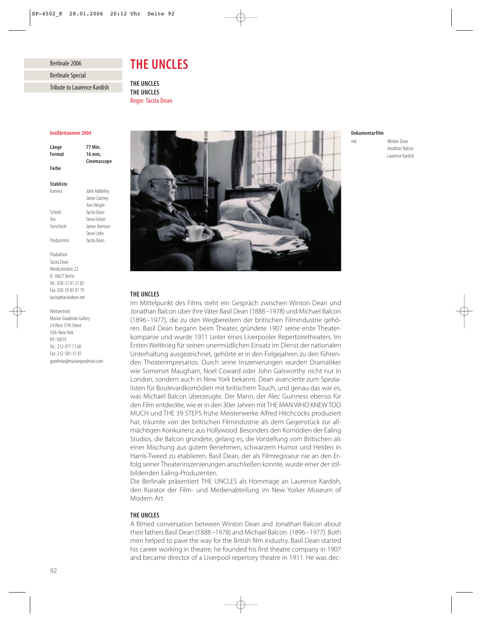Berlinale 2006

Berlinale Special

Tribute to Laurence Kardish

# *THE UNCLES*

*THE UNCLES THE UNCLES* Regie: Tacita Dean

#### *Großbritannien 2004*

| Länge  | 77 Min.     |
|--------|-------------|
| Format | 16 mm.      |
|        | Cinemascope |
| Farbe  |             |
|        |             |

## *Stabliste*

| Kamera      | John Adderley  |
|-------------|----------------|
|             | Jamie Cairney  |
|             | Tom Wright     |
| Schnitt     | Tacita Dean    |
| Ton         | Steve Felton   |
| Tonschnitt  | James Harrison |
|             | Steve   ittle  |
| Produzentin | Tacita Dean    |
|             |                |

Produktion Tacita Dean Windscheidstr. 22 D-10627 Berlin Tel.: 030-31 01 21 82 Fax: 030-39 83 97 79 tacita@tacitadean.net

Weltvertrieb Marian Goodman Gallery 24 West 57th Street USA-New York NY-10019 Tel.: 212-977 71 60 Fax: 212-581-51 87 goodman@mariangoodman.com



## *Dokumentarfilm*

mit Winton Dean Jonathan Balcon Laurence Kardish

# *THE UNCLES*

Im Mittelpunkt des Films steht ein Gespräch zwischen Winton Dean und Jonathan Balcon über ihre Väter Basil Dean (1888–1978) und Michael Balcon (1896–1977), die zu den Wegbereitern der britischen Filmindustrie gehören. Basil Dean begann beim Theater, gründete 1907 seine erste Theaterkompanie und wurde 1911 Leiter eines Liverpooler Repertoiretheaters. Im Ersten Weltkrieg für seinen unermüdlichen Einsatz im Dienst der nationalen Unterhaltung ausgezeichnet, gehörte er in den Folgejahren zu den führenden Theaterimpresarios. Durch seine Inszenierungen wurden Dramatiker wie Somerset Maugham, Noel Coward oder John Galsworthy nicht nur in London, sondern auch in New York bekannt. Dean avancierte zum Spezialisten für Boulevardkomödien mit britischem Touch, und genau das war es, was Michael Balcon überzeugte. Der Mann, der Alec Guinness ebenso für den Film entdeckte, wie er in den 30er Jahren mit THE MAN WHO KNEW TOO MUCH und THE 39 STEPS frühe Meisterwerke Alfred Hitchcocks produziert hat, träumte von der britischen Filmindustrie als dem Gegenstück zur allmächtigen Konkurrenz aus Hollywood. Besonders den Komödien der Ealing Studios, die Balcon gründete, gelang es, die Vorstellung vom Britischen als einer Mischung aus gutem Benehmen, schwarzem Humor und Helden in Harris-Tweed zu etablieren. Basil Dean, der als Filmregisseur nie an den Erfolg seiner Theaterinszenierungen anschließen konnte, wurde einer der stilbildenden Ealing-Produzenten.

Die Berlinale präsentiert THE UNCLES als Hommage an Laurence Kardish, den Kurator der Film- und Medienabteilung im New Yorker Museum of Modern Art.

# *THE UNCLES*

A filmed conversation between Winton Dean and Jonathan Balcon about their fathers Basil Dean (1888–1978) and Michael Balcon (1896–1977). Both men helped to pave the way for the British film industry. Basil Dean started his career working in theatre; he founded his first theatre company in 1907 and became director of a Liverpool repertory theatre in 1911. He was dec-